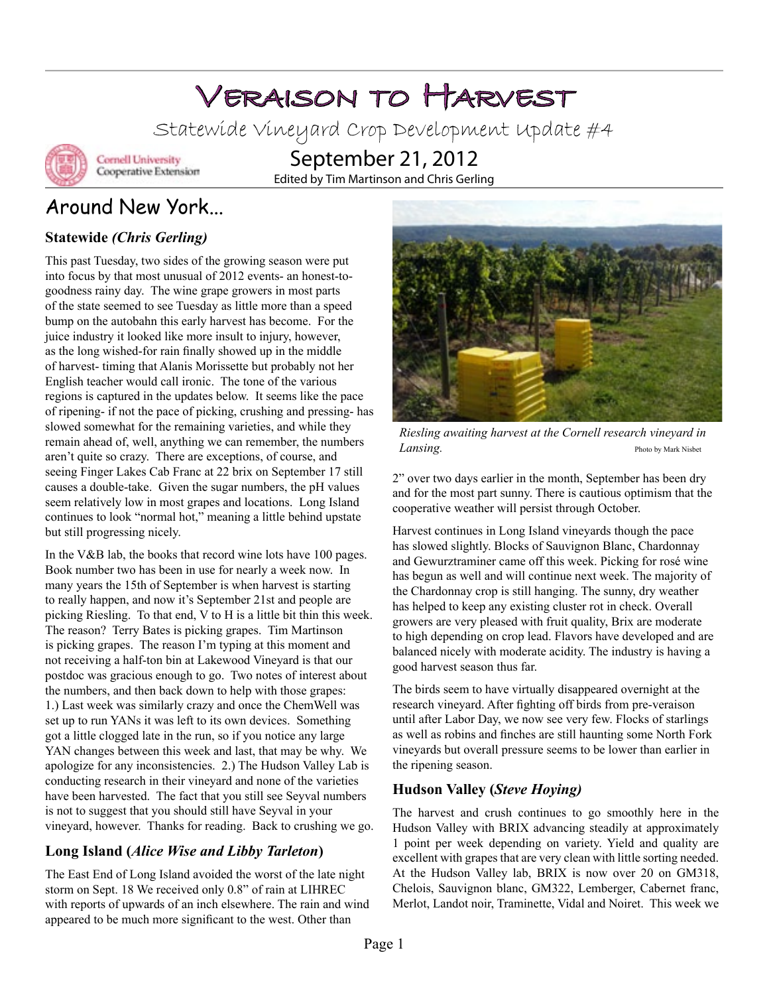# Veraison to Harvest

Statewide Vineyard Crop Development Update #4



**Cornell University** Cooperative Extension

September 21, 2012 Edited by Tim Martinson and Chris Gerling

# Around New York...

### **Statewide** *(Chris Gerling)*

This past Tuesday, two sides of the growing season were put into focus by that most unusual of 2012 events- an honest-togoodness rainy day. The wine grape growers in most parts of the state seemed to see Tuesday as little more than a speed bump on the autobahn this early harvest has become. For the juice industry it looked like more insult to injury, however, as the long wished-for rain finally showed up in the middle of harvest- timing that Alanis Morissette but probably not her English teacher would call ironic. The tone of the various regions is captured in the updates below. It seems like the pace of ripening- if not the pace of picking, crushing and pressing- has slowed somewhat for the remaining varieties, and while they remain ahead of, well, anything we can remember, the numbers aren't quite so crazy. There are exceptions, of course, and seeing Finger Lakes Cab Franc at 22 brix on September 17 still causes a double-take. Given the sugar numbers, the pH values seem relatively low in most grapes and locations. Long Island continues to look "normal hot," meaning a little behind upstate but still progressing nicely.

In the V&B lab, the books that record wine lots have 100 pages. Book number two has been in use for nearly a week now. In many years the 15th of September is when harvest is starting to really happen, and now it's September 21st and people are picking Riesling. To that end, V to H is a little bit thin this week. The reason? Terry Bates is picking grapes. Tim Martinson is picking grapes. The reason I'm typing at this moment and not receiving a half-ton bin at Lakewood Vineyard is that our postdoc was gracious enough to go. Two notes of interest about the numbers, and then back down to help with those grapes: 1.) Last week was similarly crazy and once the ChemWell was set up to run YANs it was left to its own devices. Something got a little clogged late in the run, so if you notice any large YAN changes between this week and last, that may be why. We apologize for any inconsistencies. 2.) The Hudson Valley Lab is conducting research in their vineyard and none of the varieties have been harvested. The fact that you still see Seyval numbers is not to suggest that you should still have Seyval in your vineyard, however. Thanks for reading. Back to crushing we go.

### **Long Island (***Alice Wise and Libby Tarleton***)**

The East End of Long Island avoided the worst of the late night storm on Sept. 18 We received only 0.8" of rain at LIHREC with reports of upwards of an inch elsewhere. The rain and wind appeared to be much more significant to the west. Other than



*Riesling awaiting harvest at the Cornell research vineyard in Lansing.* Photo by Mark Nisbet

2" over two days earlier in the month, September has been dry and for the most part sunny. There is cautious optimism that the cooperative weather will persist through October.

Harvest continues in Long Island vineyards though the pace has slowed slightly. Blocks of Sauvignon Blanc, Chardonnay and Gewurztraminer came off this week. Picking for rosé wine has begun as well and will continue next week. The majority of the Chardonnay crop is still hanging. The sunny, dry weather has helped to keep any existing cluster rot in check. Overall growers are very pleased with fruit quality, Brix are moderate to high depending on crop lead. Flavors have developed and are balanced nicely with moderate acidity. The industry is having a good harvest season thus far.

The birds seem to have virtually disappeared overnight at the research vineyard. After fighting off birds from pre-veraison until after Labor Day, we now see very few. Flocks of starlings as well as robins and finches are still haunting some North Fork vineyards but overall pressure seems to be lower than earlier in the ripening season.

### **Hudson Valley (***Steve Hoying)*

The harvest and crush continues to go smoothly here in the Hudson Valley with BRIX advancing steadily at approximately 1 point per week depending on variety. Yield and quality are excellent with grapes that are very clean with little sorting needed. At the Hudson Valley lab, BRIX is now over 20 on GM318, Chelois, Sauvignon blanc, GM322, Lemberger, Cabernet franc, Merlot, Landot noir, Traminette, Vidal and Noiret. This week we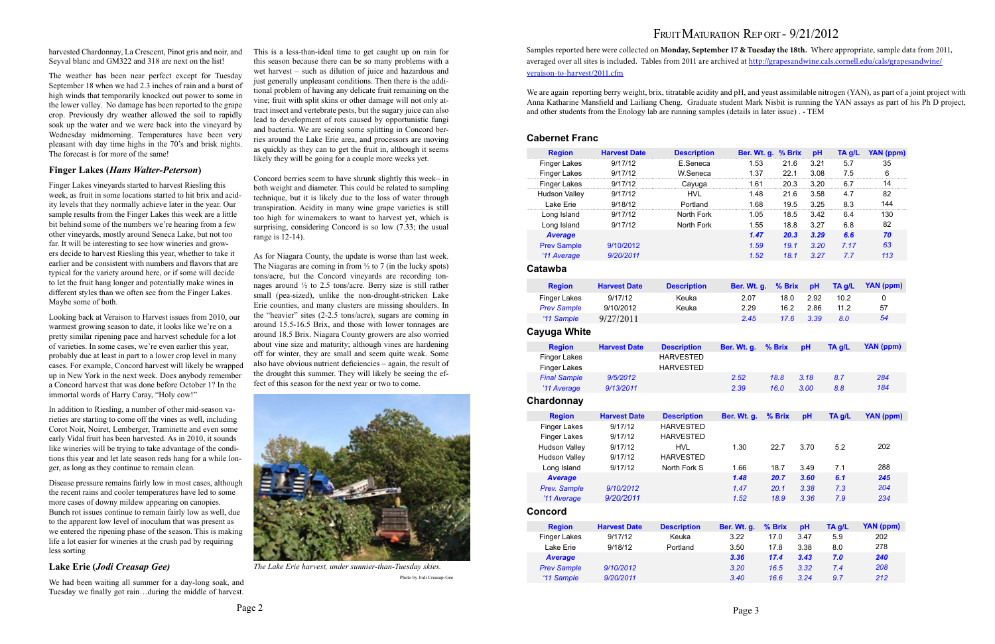## FRUIT MATURATION REP ORT - 9/21/2012

harvested Chardonnay, La Crescent, Pinot gris and noir, and Seyval blanc and GM322 and 318 are next on the list!

The weather has been near perfect except for Tuesday September 18 when we had 2.3 inches of rain and a burst of high winds that temporarily knocked out power to some in the lower valley. No damage has been reported to the grape crop. Previously dry weather allowed the soil to rapidly soak up the water and we were back into the vineyard by Wednesday midmorning. Temperatures have been very pleasant with day time highs in the 70's and brisk nights. The forecast is for more of the same!

#### **Finger Lakes (***Hans Walter-Peterson***)**

Finger Lakes vineyards started to harvest Riesling this week, as fruit in some locations started to hit brix and acidity levels that they normally achieve later in the year. Our sample results from the Finger Lakes this week are a little bit behind some of the numbers we're hearing from a few other vineyards, mostly around Seneca Lake, but not too far. It will be interesting to see how wineries and growers decide to harvest Riesling this year, whether to take it earlier and be consistent with numbers and flavors that are typical for the variety around here, or if some will decide to let the fruit hang longer and potentially make wines in different styles than we often see from the Finger Lakes. Maybe some of both.

Looking back at Veraison to Harvest issues from 2010, our warmest growing season to date, it looks like we're on a pretty similar ripening pace and harvest schedule for a lot of varieties. In some cases, we're even earlier this year, probably due at least in part to a lower crop level in many cases. For example, Concord harvest will likely be wrapped up in New York in the next week. Does anybody remember a Concord harvest that was done before October 1? In the immortal words of Harry Caray, "Holy cow!"

In addition to Riesling, a number of other mid-season varieties are starting to come off the vines as well, including Corot Noir, Noiret, Lemberger, Traminette and even some early Vidal fruit has been harvested. As in 2010, it sounds like wineries will be trying to take advantage of the conditions this year and let late season reds hang for a while longer, as long as they continue to remain clean.

Disease pressure remains fairly low in most cases, although the recent rains and cooler temperatures have led to some more cases of downy mildew appearing on canopies. Bunch rot issues continue to remain fairly low as well, due to the apparent low level of inoculum that was present as we entered the ripening phase of the season. This is making life a lot easier for wineries at the crush pad by requiring less sorting

We are again reporting berry weight, brix, titratable acidity and pH, and yeast assimilable nitrogen (YAN), as part of a joint project with Anna Katharine Mansfield and Lailiang Cheng. Graduate student Mark Nisbit is running the YAN assays as part of his Ph D project, and other students from the Enology lab are running samples (details in later issue) . - TEM

#### **Lake Erie (***Jodi Creasap Gee)*

We had been waiting all summer for a day-long soak, and Tuesday we finally got rain…during the middle of harvest.

This is a less-than-ideal time to get caught up on rain for this season because there can be so many problems with a wet harvest – such as dilution of juice and hazardous and just generally unpleasant conditions. Then there is the additional problem of having any delicate fruit remaining on the vine; fruit with split skins or other damage will not only attract insect and vertebrate pests, but the sugary juice can also lead to development of rots caused by opportunistic fungi and bacteria. We are seeing some splitting in Concord berries around the Lake Erie area, and processors are moving as quickly as they can to get the fruit in, although it seems likely they will be going for a couple more weeks yet.



*The Lake Erie harvest, under sunnier-than-Tuesday skies.*  Photo by Jodi Creasap-Gee

Concord berries seem to have shrunk slightly this week– in both weight and diameter. This could be related to sampling technique, but it is likely due to the loss of water through transpiration. Acidity in many wine grape varieties is still too high for winemakers to want to harvest yet, which is surprising, considering Concord is so low (7.33; the usual range is 12-14).

As for Niagara County, the update is worse than last week. The Niagaras are coming in from  $\frac{1}{2}$  to 7 (in the lucky spots) tons/acre, but the Concord vineyards are recording tonnages around ½ to 2.5 tons/acre. Berry size is still rather small (pea-sized), unlike the non-drought-stricken Lake Erie counties, and many clusters are missing shoulders. In the "heavier" sites (2-2.5 tons/acre), sugars are coming in around 15.5-16.5 Brix, and those with lower tonnages are around 18.5 Brix. Niagara County growers are also worried about vine size and maturity; although vines are hardening off for winter, they are small and seem quite weak. Some also have obvious nutrient deficiencies – again, the result of the drought this summer. They will likely be seeing the effect of this season for the next year or two to come.

Samples reported here were collected on **Monday, September 17 & Tuesday the 18th.** Where appropriate, sample data from 2011, averaged over all sites is included. Tables from 2011 are archived at [http://grapesandwine.cals.cornell.edu/cals/grapesandwine/](http://grapesandwine.cals.cornell.edu/cals/grapesandwine/veraison-to-harvest/2011.cfm) [veraison-to-harvest/2011.cfm](http://grapesandwine.cals.cornell.edu/cals/grapesandwine/veraison-to-harvest/2011.cfm)

#### **Cabernet Franc**

| <b>Region</b>                              | <b>Harvest Date</b> | <b>Description</b>                   | Ber. Wt. g. | % Brix | pH   | TA g/L | <b>YAN (ppm)</b> |
|--------------------------------------------|---------------------|--------------------------------------|-------------|--------|------|--------|------------------|
| <b>Finger Lakes</b>                        | 9/17/12             | E.Seneca                             | 1.53        | 21.6   | 3.21 | 5.7    | 35               |
| Finger Lakes                               | 9/17/12             | W.Seneca                             | 1.37        | 22.1   | 3.08 | 7.5    | 6                |
| <b>Finger Lakes</b>                        | 9/17/12             | Cayuga                               | 1.61        | 20.3   | 3.20 | 6.7    | 14               |
| <b>Hudson Valley</b>                       | 9/17/12             | <b>HVL</b>                           | 1.48        | 21.6   | 3.58 | 4.7    | 82               |
| Lake Erie                                  | 9/18/12             | Portland                             | 1.68        | 19.5   | 3.25 | 8.3    | 144              |
| Long Island                                | 9/17/12             | North Fork                           | 1.05        | 18.5   | 3.42 | 6.4    | 130              |
| Long Island                                | 9/17/12             | North Fork                           | 1.55        | 18.8   | 3.27 | 6.8    | 82               |
| <b>Average</b>                             |                     |                                      | 1.47        | 20.3   | 3.29 | 6.6    | 70               |
| <b>Prev Sample</b>                         | 9/10/2012           |                                      | 1.59        | 19.1   | 3.20 | 7.17   | 63               |
| '11 Average                                | 9/20/2011           |                                      | 1.52        | 18.1   | 3.27 | 7.7    | 113              |
| Catawba                                    |                     |                                      |             |        |      |        |                  |
| <b>Region</b>                              | <b>Harvest Date</b> | <b>Description</b>                   | Ber. Wt. g. | % Brix | pH   | TA g/L | YAN (ppm)        |
| <b>Finger Lakes</b>                        | 9/17/12             | Keuka                                | 2.07        | 18.0   | 2.92 | 10.2   | 0                |
| <b>Prev Sample</b>                         | 9/10/2012           | Keuka                                | 2.29        | 16.2   | 2.86 | 11.2   | 57               |
| '11 Sample                                 | 9/27/2011           |                                      | 2.45        | 17.6   | 3.39 | 8.0    | 54               |
| Cayuga White                               |                     |                                      |             |        |      |        |                  |
| <b>Region</b>                              | <b>Harvest Date</b> | <b>Description</b>                   | Ber. Wt. g. | % Brix | pH   | TA g/L | <b>YAN (ppm)</b> |
| <b>Finger Lakes</b>                        |                     | <b>HARVESTED</b>                     |             |        |      |        |                  |
| <b>Finger Lakes</b>                        |                     | <b>HARVESTED</b>                     |             |        |      |        |                  |
| <b>Final Sample</b>                        | 9/5/2012            |                                      | 2.52        | 18.8   | 3.18 | 8.7    | 284              |
| '11 Average                                | 9/13/2011           |                                      | 2.39        | 16.0   | 3.00 | 8.8    | 184              |
| Chardonnay                                 |                     |                                      |             |        |      |        |                  |
| <b>Region</b>                              | <b>Harvest Date</b> | <b>Description</b>                   | Ber. Wt. g. | % Brix | pH   | TA g/L | YAN (ppm)        |
| <b>Finger Lakes</b><br><b>Finger Lakes</b> | 9/17/12<br>9/17/12  | <b>HARVESTED</b><br><b>HARVESTED</b> |             |        |      |        |                  |
| <b>Hudson Valley</b>                       | 9/17/12             | <b>HVL</b>                           | 1.30        | 22.7   | 3.70 | 5.2    | 202              |
| <b>Hudson Valley</b>                       | 9/17/12             | <b>HARVESTED</b>                     |             |        |      |        |                  |
| Long Island                                | 9/17/12             | North Fork S                         | 1.66        | 18.7   | 3.49 | 7.1    | 288              |
| <b>Average</b>                             |                     |                                      | 1.48        | 20.7   | 3.60 | 6.1    | 245              |
| <b>Prev. Sample</b>                        | 9/10/2012           |                                      | 1.47        | 20.1   | 3.38 | 7.3    | 204              |
| '11 Average                                | 9/20/2011           |                                      | 1.52        | 18.9   | 3.36 | 7.9    | 234              |
| Concord                                    |                     |                                      |             |        |      |        |                  |
| <b>Region</b>                              | <b>Harvest Date</b> | <b>Description</b>                   | Ber. Wt. g. | % Brix | pH   | TA g/L | <b>YAN (ppm)</b> |
| Finger Lakes                               | 9/17/12             | Keuka                                | 3.22        | 17.0   | 3.47 | 5.9    | 202              |
| Lake Erie                                  | 9/18/12             | Portland                             | 3.50        | 17.8   | 3.38 | 8.0    | 278              |
| <b>Average</b>                             |                     |                                      | 3.36        | 17.4   | 3.43 | 7.0    | 240              |
| <b>Prev Sample</b>                         | 9/10/2012           |                                      | 3.20        | 16.5   | 3.32 | 7.4    | 208              |
| '11 Sample                                 | 9/20/2011           |                                      | 3.40        | 16.6   | 3.24 | 9.7    | 212              |
|                                            |                     |                                      |             |        |      |        |                  |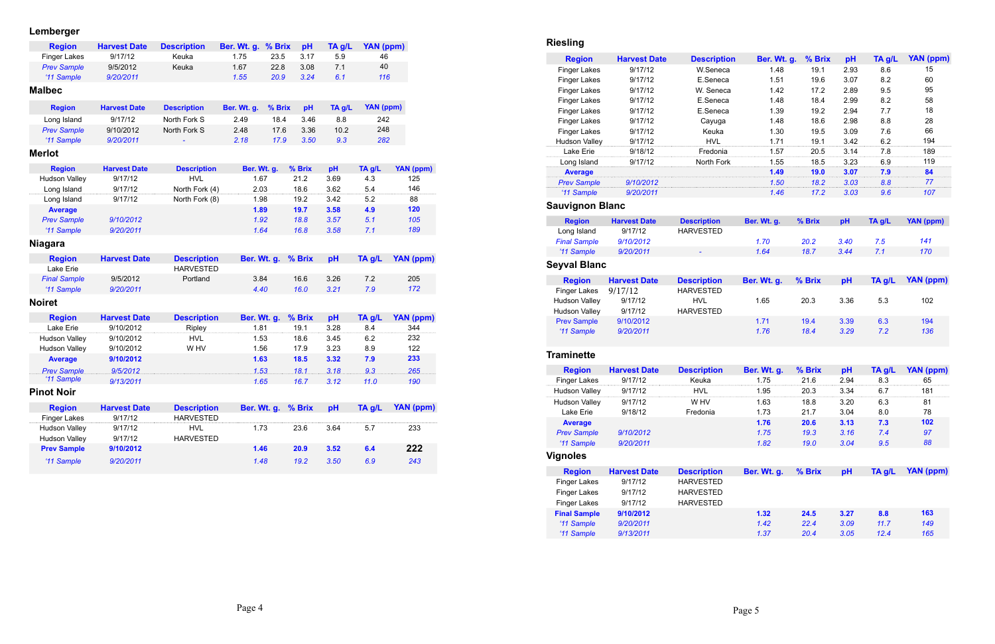### **Lemberger**

| <b>Region</b>        | <b>Harvest Date</b> | <b>Description</b> | Ber. Wt. g. | % Brix | pH     | TA g/L | YAN (ppm)        |                  |
|----------------------|---------------------|--------------------|-------------|--------|--------|--------|------------------|------------------|
| <b>Finger Lakes</b>  | 9/17/12             | Keuka              | 1.75        | 23.5   | 3.17   | 5.9    | 46               |                  |
| <b>Prev Sample</b>   | 9/5/2012            | Keuka              | 1.67        | 22.8   | 3.08   | 7.1    | 40               |                  |
| '11 Sample           | 9/20/2011           |                    | 1.55        | 20.9   | 3.24   | 6.1    | 116              |                  |
| <b>Malbec</b>        |                     |                    |             |        |        |        |                  |                  |
| <b>Region</b>        | <b>Harvest Date</b> | <b>Description</b> | Ber. Wt. g. | % Brix | pH     | TA g/L | <b>YAN (ppm)</b> |                  |
| Long Island          | 9/17/12             | North Fork S       | 2.49        | 18.4   | 3.46   | 8.8    | 242              |                  |
| <b>Prev Sample</b>   | 9/10/2012           | North Fork S       | 2.48        | 17.6   | 3.36   | 10.2   | 248              |                  |
| '11 Sample           | 9/20/2011           |                    | 2.18        | 17.9   | 3.50   | 9.3    | 282              |                  |
| <b>Merlot</b>        |                     |                    |             |        |        |        |                  |                  |
| <b>Region</b>        | <b>Harvest Date</b> | <b>Description</b> | Ber. Wt. g. |        | % Brix | pH     | TA g/L           | YAN (ppm)        |
| <b>Hudson Valley</b> | 9/17/12             | <b>HVL</b>         | 1.67        |        | 21.2   | 3.69   | 4.3              | 125              |
| Long Island          | 9/17/12             | North Fork (4)     | 2.03        |        | 18.6   | 3.62   | 5.4              | 146              |
| Long Island          | 9/17/12             | North Fork (8)     | 1.98        |        | 19.2   | 3.42   | 5.2              | 88               |
| <b>Average</b>       |                     |                    | 1.89        |        | 19.7   | 3.58   | 4.9              | 120              |
| <b>Prev Sample</b>   | 9/10/2012           |                    |             | 1.92   | 18.8   | 3.57   | 5.1              | 105              |
| '11 Sample           | 9/20/2011           |                    |             | 1.64   | 16.8   | 3.58   | 7.1              | 189              |
| <b>Niagara</b>       |                     |                    |             |        |        |        |                  |                  |
| <b>Region</b>        | <b>Harvest Date</b> | <b>Description</b> | Ber. Wt. g. |        | % Brix | pH     | TA g/L           | <b>YAN (ppm)</b> |
| Lake Erie            |                     | <b>HARVESTED</b>   |             |        |        |        |                  |                  |
| <b>Final Sample</b>  | 9/5/2012            | Portland           | 3.84        |        | 16.6   | 3.26   | 7.2              | 205              |
| '11 Sample           | 9/20/2011           |                    | 4.40        |        | 16.0   | 3.21   | 7.9              | 172              |
| <b>Noiret</b>        |                     |                    |             |        |        |        |                  |                  |
| <b>Region</b>        | <b>Harvest Date</b> | <b>Description</b> | Ber. Wt. g. |        | % Brix | pH     | TA g/L           | <b>YAN (ppm)</b> |
| Lake Erie            | 9/10/2012           | Ripley             | 1.81        |        | 19.1   | 3.28   | 8.4              | 344              |
| <b>Hudson Valley</b> | 9/10/2012           | <b>HVL</b>         | 1.53        |        | 18.6   | 3.45   | 6.2              | 232              |
| <b>Hudson Valley</b> | 9/10/2012           | W HV               | 1.56        |        | 17.9   | 3.23   | 8.9              | 122              |
| <b>Average</b>       | 9/10/2012           |                    | 1.63        |        | 18.5   | 3.32   | 7.9              | 233              |
| <b>Prev Sample</b>   | 9/5/2012            |                    |             | 1.53.  | 18.1   | 3.18   | 9.3              | 265              |
| '11 Sample           | 9/13/2011           |                    |             | 1.65   | 16.7   | 3.12   | 11.0             | 190              |
| <b>Pinot Noir</b>    |                     |                    |             |        |        |        |                  |                  |
| <b>Region</b>        | <b>Harvest Date</b> | <b>Description</b> | Ber. Wt. g. |        | % Brix | pH     | TA g/L           | <b>YAN (ppm)</b> |
| <b>Finger Lakes</b>  | 9/17/12             | <b>HARVESTED</b>   |             |        |        |        |                  |                  |
| Hudson Valley        | 9/17/12             | <b>HVL</b>         | 1.73        |        | 23.6   | 3.64   | 5.7              | 233              |
| <b>Hudson Valley</b> | 9/17/12             | <b>HARVESTED</b>   |             |        |        |        |                  |                  |
| <b>Prev Sample</b>   | 9/10/2012           |                    | 1.46        |        | 20.9   | 3.52   | 6.4              | 222              |
| '11 Sample           | 9/20/2011           |                    |             | 1.48   | 19.2   | 3.50   | 6.9              | 243              |

# **Riesling**

| <b>Region</b>        | <b>Harvest Date</b> | <b>Description</b> | Ber. Wt. g. | % Brix | pH   | TA g/L | YAN (ppm) |
|----------------------|---------------------|--------------------|-------------|--------|------|--------|-----------|
| <b>Finger Lakes</b>  | 9/17/12             | W.Seneca           | 1.48        | 19.1   | 2.93 | 8.6    | 15        |
| <b>Finger Lakes</b>  | 9/17/12             | E.Seneca           | 1.51        | 19.6   | 3.07 | 8.2    | 60        |
| <b>Finger Lakes</b>  | 9/17/12             | W. Seneca          | 1.42        | 17.2   | 2.89 | 9.5    | 95        |
| <b>Finger Lakes</b>  | 9/17/12             | E.Seneca           | 1.48        | 18.4   | 2.99 | 8.2    | 58        |
| <b>Finger Lakes</b>  | 9/17/12             | E.Seneca           | 1.39        | 19.2   | 2.94 | 7.7    | 18        |
| <b>Finger Lakes</b>  | 9/17/12             | Cayuga             | 1.48        | 18.6   | 2.98 | 8.8    | 28        |
| <b>Finger Lakes</b>  | 9/17/12             | Keuka              | 1.30        | 19.5   | 3.09 | 7.6    | 66        |
| <b>Hudson Valley</b> | 9/17/12             | HVI                |             | 19.1   | 3.42 | 6.2    | 194       |
| I ake Frie           | 9/18/12             | Fredonia           | 1.57        | 20.5   | 3.14 | 7.8    | 189       |
| Long Island          |                     | North Fork         | 1.55        | 18.5   | 3.23 | 69     | 119       |
| <b>Average</b>       |                     |                    | -49         | 19.0   | 3.07 | 7.9    | 84        |
| <b>Prev Sample</b>   | 9/10/2012           |                    | 1.50        | 18.2   | 3.03 | 8.8    | 77        |
| '11 Sample           | 9/20/2011           |                    | 1.46        | 17.2   | 3.03 | 9.6    | 107       |

# **Sauvignon Blanc**

| <b>Region</b>       | <b>Harvest Date</b> | <b>Description</b> |
|---------------------|---------------------|--------------------|
| Long Island         | 9/17/12             | <b>HARVESTED</b>   |
| <b>Final Sample</b> | 9/10/2012           |                    |
| '11 Sample          | 9/20/2011           |                    |
|                     |                     |                    |

# **Seyval Blanc**

| <b>Region</b>                                         | <b>Harvest Date</b>           | <b>Description</b>                                 | Ber. Wt. g.        | % Brix   | pH   | TA g/L | YAN (ppm) |
|-------------------------------------------------------|-------------------------------|----------------------------------------------------|--------------------|----------|------|--------|-----------|
| Long Island                                           | 9/17/12                       | <b>HARVESTED</b>                                   |                    |          |      |        |           |
| <b>Final Sample</b>                                   | 9/10/2012                     |                                                    | 1.70               | 20.2     | 3.40 | 7.5    | 141       |
| '11 Sample                                            | 9/20/2011                     | ٠                                                  | 1.64               | 18.7     | 3.44 | 7.1    | 170       |
| eyval Blanc                                           |                               |                                                    |                    |          |      |        |           |
| <b>Region</b>                                         | <b>Harvest Date</b>           | <b>Description</b>                                 | <b>Ber. Wt. g.</b> | $%$ Brix | pH   | TA g/L | YAN (ppm) |
| <b>Finger Lakes</b><br>Hudson Valley<br>Hudson Valley | 9/17/12<br>9/17/12<br>9/17/12 | <b>HARVESTED</b><br><b>HVL</b><br><b>HARVESTED</b> | 1.65               | 20.3     | 3.36 | 5.3    | 102       |
| <b>Prev Sample</b>                                    | 9/10/2012                     |                                                    | 1.71               | 19.4     | 3.39 | 6.3    | 194       |

| <b>Region</b>        | <b>Harvest Date</b> | <b>Description</b> |
|----------------------|---------------------|--------------------|
| <b>Finger Lakes</b>  | 9/17/12             | <b>HARVESTED</b>   |
| <b>Hudson Valley</b> | 9/17/12             | HVL                |
| <b>Hudson Valley</b> | 9/17/12             | <b>HARVESTED</b>   |
| <b>Prev Sample</b>   | 9/10/2012           |                    |
| '11 Sample           | 9/20/2011           |                    |

### **Traminette**

| <b>Region</b>        | <b>Harvest Date</b> | <b>Description</b> |
|----------------------|---------------------|--------------------|
| <b>Finger Lakes</b>  | 9/17/12             | Keuka              |
| <b>Hudson Valley</b> | 9/17/12             | HVL                |
| <b>Hudson Valley</b> | 9/17/12             | W HV               |
| Lake Erie            | 9/18/12             | Fredonia           |
| <b>Average</b>       |                     |                    |
| <b>Prev Sample</b>   | 9/10/2012           |                    |
| '11 Sample           | 9/20/2011           |                    |

| <b>Region</b>       | <b>Harvest Date</b> | <b>Description</b> | <b>Ber. Wt. g.</b> | $%$ Brix | рH   | TA g/L | YAN (ppm) |
|---------------------|---------------------|--------------------|--------------------|----------|------|--------|-----------|
| <b>Finger Lakes</b> | 9/17/12             | Keuka              | .75                | 21.6     | 2.94 | 8.3    | 65        |
| Hudson Valley       | 9/17/12             | HVI.               | .95                | 20.3     | 3.34 |        | 181       |
| Hudson Valley       | 9/17/12             | W HV               | l.63               | 18.8     | 3.20 | 6.3    | 81        |
| Lake Erie           | 9/18/12             | Fredonia           | 1.73               | 21.7     | 3.04 | 8.0    | 78        |
| <b>Average</b>      |                     |                    | 1.76               | 20.6     | 3.13 | 7.3    | 102       |
| <b>Prev Sample</b>  | 9/10/2012           |                    | 1.75               | 19.3     | 3.16 | 7.4    | 97        |
| '11 Sample          | 9/20/2011           |                    | 1.82               | 19.0     | 3.04 | 9.5    | 88        |

# **Vignoles**

| Region Harvest Date Description Ber. Wt. g. % Brix pH TA g/L YAN (ppm) |  |  |  |
|------------------------------------------------------------------------|--|--|--|
|                                                                        |  |  |  |

| <b>Region</b>       | <b>Harvest Date</b> | <b>Description</b> |
|---------------------|---------------------|--------------------|
| <b>Finger Lakes</b> | 9/17/12             | <b>HARVESTED</b>   |
| <b>Finger Lakes</b> | 9/17/12             | <b>HARVESTED</b>   |
| <b>Finger Lakes</b> | 9/17/12             | <b>HARVESTED</b>   |
| <b>Final Sample</b> | 9/10/2012           |                    |
| '11 Sample          | 9/20/2011           |                    |
| '11 Sample          | 9/13/2011           |                    |

| Final Sample 9/10/2012 | 1.32 | 24.5 | 3.27 | 8.8  | 163 |
|------------------------|------|------|------|------|-----|
| '11 Sample 9/20/2011   | 1.42 | 22.4 | 3.09 | 11.7 | 149 |
| '11 Sample 9/13/2011   | 1.37 | 20.4 | 3.05 | 12.4 | 165 |
|                        |      |      |      |      |     |